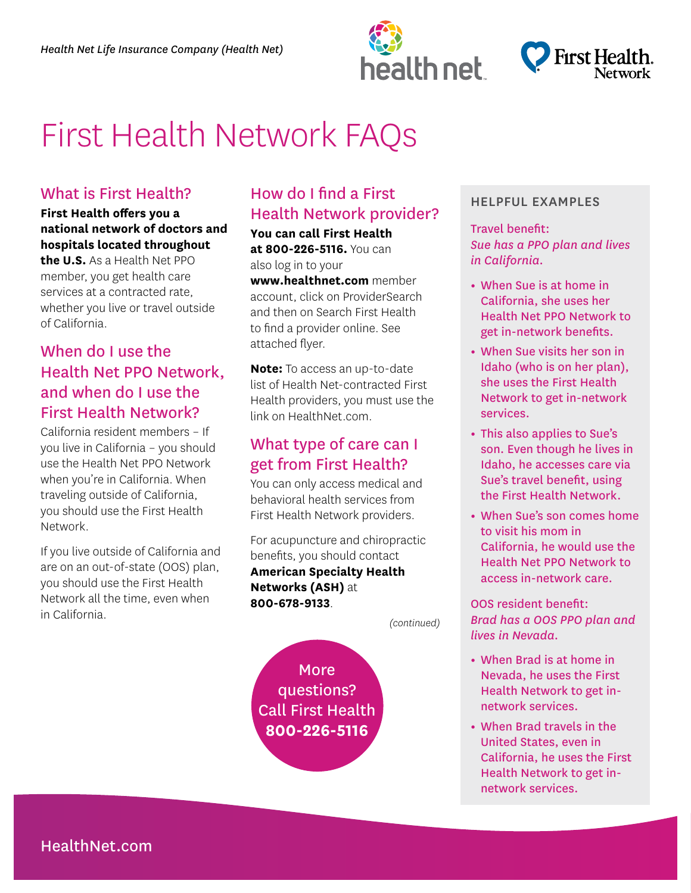



# First Health Network FAQs

#### What is First Health?

#### **First Health offers you a national network of doctors and hospitals located throughout**

**the U.S.** As a Health Net PPO member, you get health care services at a contracted rate, whether you live or travel outside of California.

## When do I use the Health Net PPO Network, and when do I use the First Health Network?

California resident members – If you live in California – you should use the Health Net PPO Network when you're in California. When traveling outside of California, you should use the First Health Network.

If you live outside of California and are on an out-of-state (OOS) plan, you should use the First Health Network all the time, even when in California.

# How do I find a First Health Network provider?

**You can call First Health** 

**at 800-226-5116.** You can also log in to your

**www.healthnet.com** member account, click on ProviderSearch and then on Search First Health to find a provider online. See attached flyer.

**Note:** To access an up-to-date list of Health Net-contracted First Health providers, you must use the link on HealthNet.com.

## What type of care can I get from First Health?

You can only access medical and behavioral health services from First Health Network providers.

For acupuncture and chiropractic benefits, you should contact **American Specialty Health Networks (ASH)** at **800-678-9133**.

*(continued)* 

**More** questions? Call First Health **800-226-5116** 

#### HELPFUL EXAMPLES

Travel benefit: *Sue has a PPO plan and lives in California.* 

- When Sue is at home in California, she uses her Health Net PPO Network to get in-network benefits.
- When Sue visits her son in Idaho (who is on her plan), she uses the First Health Network to get in-network services.
- This also applies to Sue's son. Even though he lives in Idaho, he accesses care via Sue's travel benefit, using the First Health Network.
- When Sue's son comes home to visit his mom in California, he would use the Health Net PPO Network to access in-network care.

OOS resident benefit: *Brad has a OOS PPO plan and lives in Nevada.* 

- When Brad is at home in Nevada, he uses the First Health Network to get innetwork services.
- When Brad travels in the United States, even in California, he uses the First Health Network to get innetwork services.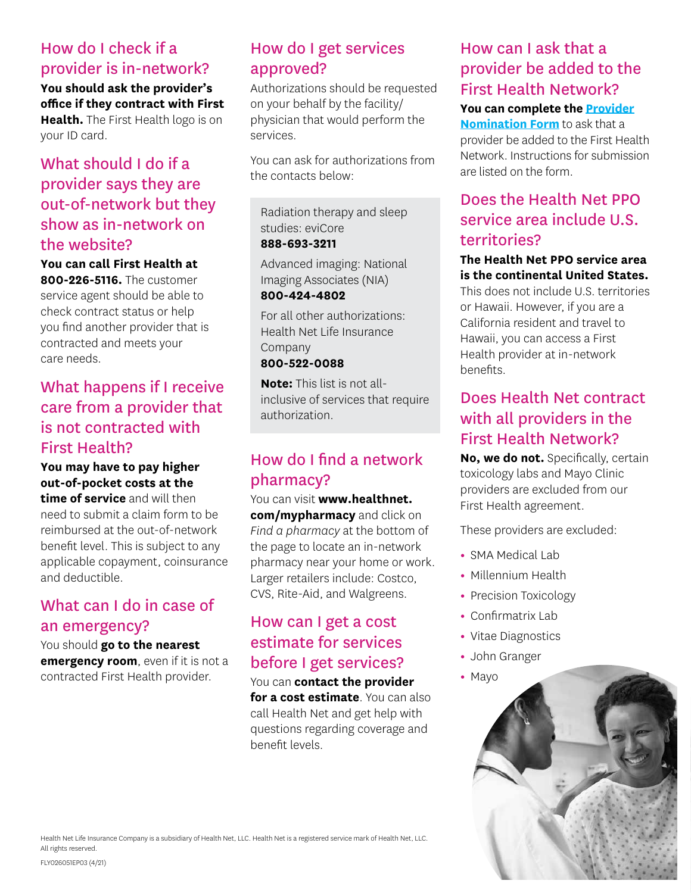## How do I check if a provider is in-network?

**You should ask the provider's office if they contract with First Health.** The First Health logo is on your ID card.

# What should I do if a provider says they are out-of-network but they show as in-network on the website?

**You can call First Health at** 

**800-226-5116.** The customer service agent should be able to check contract status or help you find another provider that is contracted and meets your care needs.

# What happens if I receive care from a provider that is not contracted with First Health?

**You may have to pay higher out-of-pocket costs at the** 

**time of service** and will then need to submit a claim form to be reimbursed at the out-of-network benefit level. This is subject to any applicable copayment, coinsurance and deductible.

# What can I do in case of an emergency?

You should **go to the nearest emergency room**, even if it is not a contracted First Health provider.

# How do I get services approved?

Authorizations should be requested on your behalf by the facility/ physician that would perform the services.

You can ask for authorizations from the contacts below:

Radiation therapy and sleep studies: eviCore **888-693-3211** 

Advanced imaging: National Imaging Associates (NIA)

#### **800-424-4802**

For all other authorizations: Health Net Life Insurance Company

#### **800-522-0088**

**Note:** This list is not allinclusive of services that require authorization.

# How do I find a network pharmacy?

You can visit **www.healthnet. [com/mypharmacy](htttp://www.healthnet.com/mypharmacy)** and click on *Find a pharmacy* at the bottom of the page to locate an in-network pharmacy near your home or work. Larger retailers include: Costco, CVS, Rite-Aid, and Walgreens.

# How can I get a cost estimate for services before I get services?

You can **contact the provider for a cost estimate**. You can also call Health Net and get help with questions regarding coverage and benefit levels.

# How can I ask that a provider be added to the First Health Network?

**You can complete the [Provider](file:///C:/Users/cn113257/Downloads/fh_physician_nomination_form.pdf)  [Nomination Form](file:///C:/Users/cn113257/Downloads/fh_physician_nomination_form.pdf)** to ask that a provider be added to the First Health Network. Instructions for submission are listed on the form.

# Does the Health Net PPO service area include U.S. territories?

**The Health Net PPO service area is the continental United States.**  This does not include U.S. territories or Hawaii. However, if you are a California resident and travel to Hawaii, you can access a First Health provider at in-network

# Does Health Net contract with all providers in the First Health Network?

**No, we do not.** Specifically, certain toxicology labs and Mayo Clinic providers are excluded from our First Health agreement.

These providers are excluded:

- SMA Medical Lab
- Millennium Health
- Precision Toxicology
- Confirmatrix Lab
- Vitae Diagnostics
- John Granger
- Mayo

benefits.



Health Net Life Insurance Company is a subsidiary of Health Net, LLC. Health Net is a registered service mark of Health Net, LLC. All rights reserved.